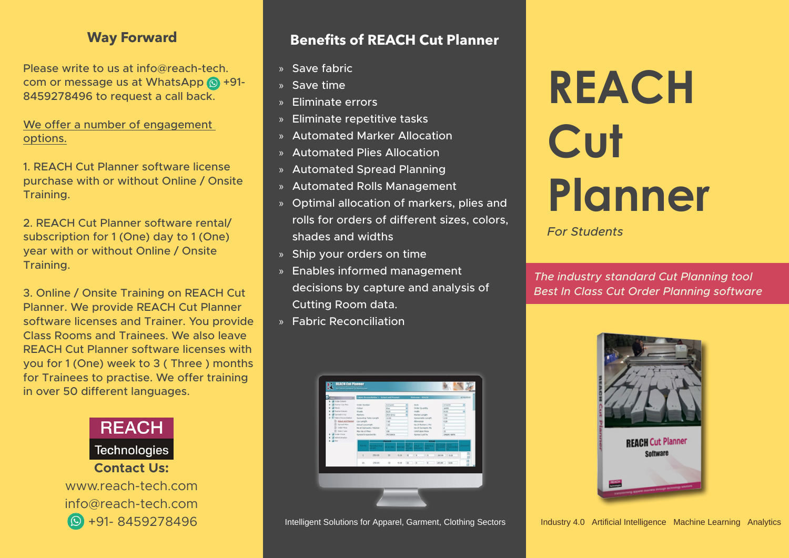### **Way Forward**

Please write to us at info  $\omega$  reach-tech. com or message us at WhatsApp  $\circledR$  +91-8459278496 to request a call back.

We offer a number of engagement options.

1. REACH Cut Planner software license purchase with or without Online / Onsite Training.

2. REACH Cut Planner software rental/ subscription for 1 (One) day to 1 (One) vear with or without Online / Onsite .Training

3. Online / Onsite Training on REACH Cut Planner. We provide REACH Cut Planner software licenses and Trainer. You provide Class Rooms and Trainees. We also leave REACH Cut Planner software licenses with you for 1 (One) week to 3 (Three) months for Trainees to practise. We offer training in over 50 different languages.



## **Benefits of REACH Cut Planner**

- » Save fabric
- $\overline{\mathsf{S}}$  Save time
- » Eliminate errors
- $\ast$  Eliminate repetitive tasks
- » Automated Marker Allocation
- » Automated Plies Allocation
- » Automated Spread Planning
- » Automated Rolls Management
- » Optimal allocation of markers, plies and rolls for orders of different sizes, colors, shades and widths
- » Ship your orders on time
- » Enables informed management decisions by capture and analysis of Cutting Room data.
- » Fabric Reconciliation



# **REACH Cut Planner**

*Students For*

*The industry standard Cut Planning tool* **Best In Class Cut Order Planning software** 



Intelligent Solutions for Apparel, Garment, Clothing Sectors **Clothing Langlet Artificial Intelligence** Machine Learning Analytics